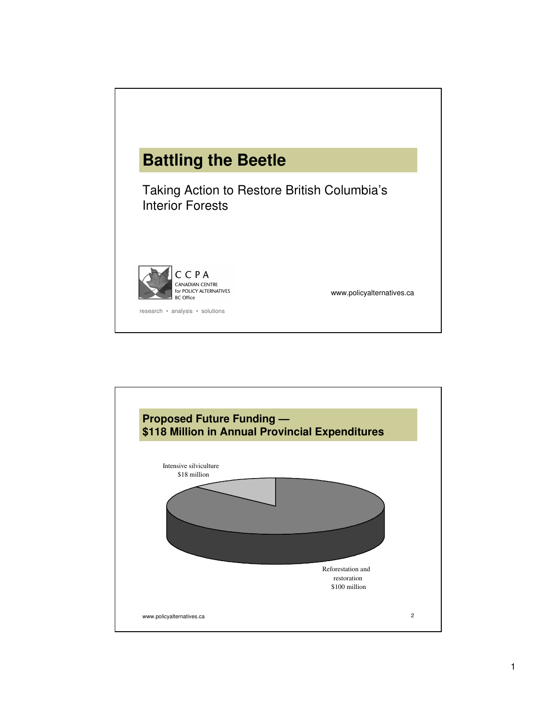

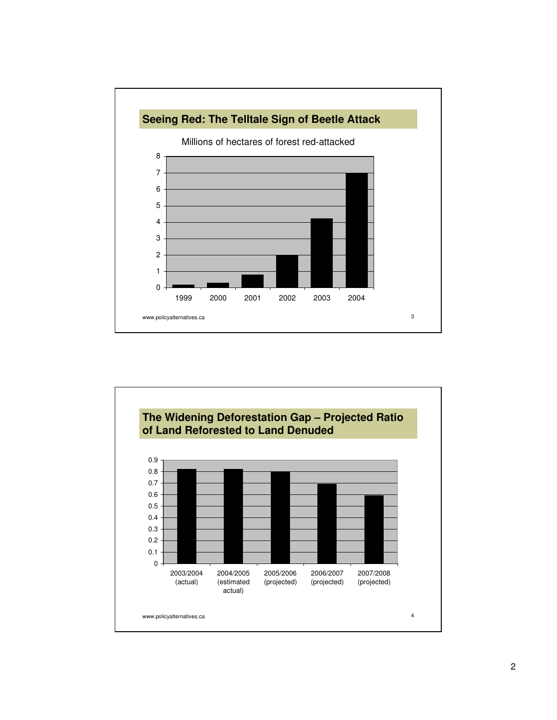

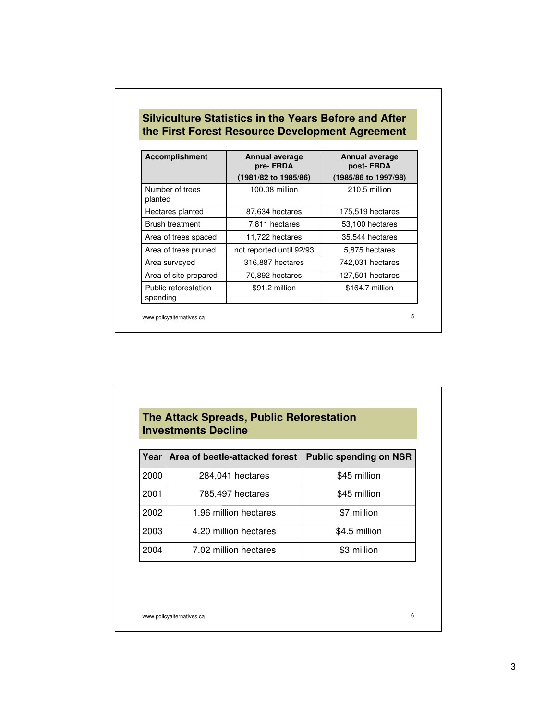| <b>Accomplishment</b>            | Annual average<br>pre-FRDA | Annual average<br>post-FRDA |  |
|----------------------------------|----------------------------|-----------------------------|--|
|                                  | (1981/82 to 1985/86)       | (1985/86 to 1997/98)        |  |
| Number of trees<br>planted       | 100.08 million             | 210.5 million               |  |
| Hectares planted                 | 87,634 hectares            | 175,519 hectares            |  |
| <b>Brush treatment</b>           | 7,811 hectares             | 53,100 hectares             |  |
| Area of trees spaced             | 11,722 hectares            | 35,544 hectares             |  |
| Area of trees pruned             | not reported until 92/93   | 5,875 hectares              |  |
| Area surveyed                    | 316,887 hectares           | 742,031 hectares            |  |
| Area of site prepared            | 70,892 hectares            | 127,501 hectares            |  |
| Public reforestation<br>spending | \$91.2 million             | \$164.7 million             |  |

## **The Attack Spreads, Public Reforestation Investments Decline**

| Year | Area of beetle-attacked forest | <b>Public spending on NSR</b> |
|------|--------------------------------|-------------------------------|
| 2000 | 284,041 hectares               | \$45 million                  |
| 2001 | 785,497 hectares               | \$45 million                  |
| 2002 | 1.96 million hectares          | \$7 million                   |
| 2003 | 4.20 million hectares          | \$4.5 million                 |
| 2004 | 7.02 million hectares          | \$3 million                   |

www.policyalternatives.ca 6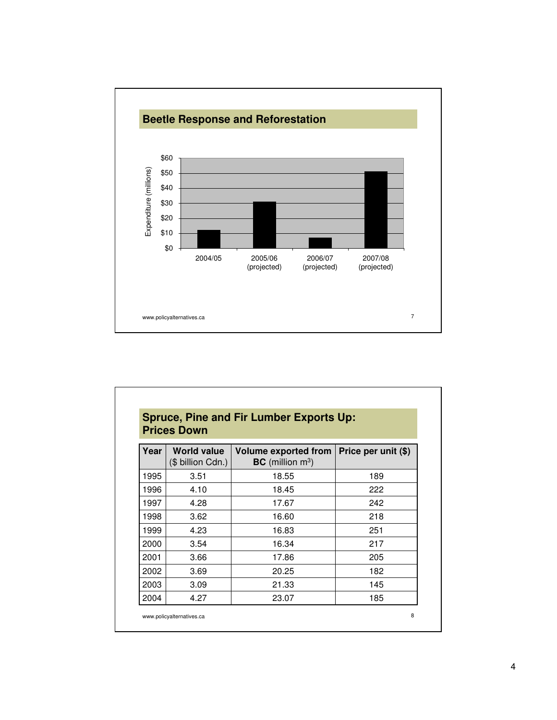

| <b>Spruce, Pine and Fir Lumber Exports Up:</b><br><b>Prices Down</b> |                                         |                                                               |                     |  |
|----------------------------------------------------------------------|-----------------------------------------|---------------------------------------------------------------|---------------------|--|
| Year                                                                 | <b>World value</b><br>(\$ billion Cdn.) | <b>Volume exported from</b><br>$BC$ (million m <sup>3</sup> ) | Price per unit (\$) |  |
| 1995                                                                 | 3.51                                    | 18.55                                                         | 189                 |  |
| 1996                                                                 | 4.10                                    | 18.45                                                         | 222                 |  |
| 1997                                                                 | 4.28                                    | 17.67                                                         | 242                 |  |
| 1998                                                                 | 3.62                                    | 16.60                                                         | 218                 |  |
| 1999                                                                 | 4.23                                    | 16.83                                                         | 251                 |  |
| 2000                                                                 | 3.54                                    | 16.34                                                         | 217                 |  |
| 2001                                                                 | 3.66                                    | 17.86                                                         | 205                 |  |
| 2002                                                                 | 3.69                                    | 20.25                                                         | 182                 |  |
| 2003                                                                 | 3.09                                    | 21.33                                                         | 145                 |  |
| 2004                                                                 | 4.27                                    | 23.07                                                         | 185                 |  |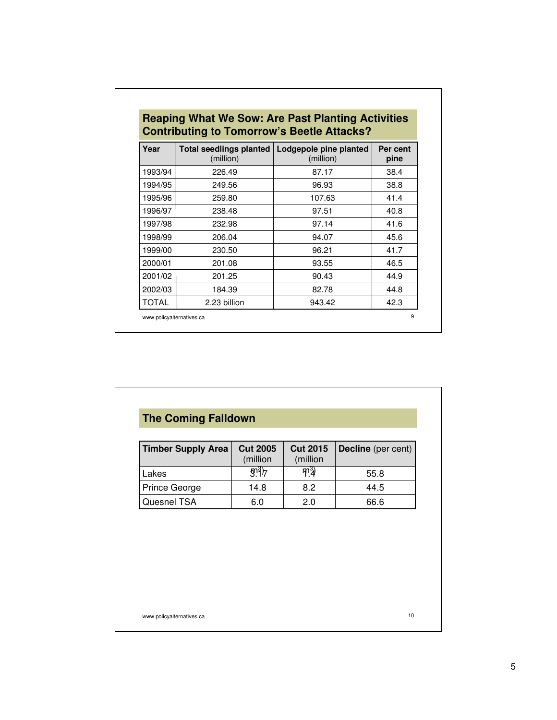| Year    | <b>Total seedlings planted</b><br>(million) | Lodgepole pine planted<br>(million) | Per cent<br>pine |
|---------|---------------------------------------------|-------------------------------------|------------------|
| 1993/94 | 226.49                                      | 87.17                               | 38.4             |
| 1994/95 | 249.56                                      | 96.93                               | 38.8             |
| 1995/96 | 259.80                                      | 107.63                              | 41.4             |
| 1996/97 | 238.48                                      | 97.51                               | 40.8             |
| 1997/98 | 232.98                                      | 97.14                               | 41.6             |
| 1998/99 | 206.04                                      | 94.07                               | 45.6             |
| 1999/00 | 230.50                                      | 96.21                               | 41.7             |
| 2000/01 | 201.08                                      | 93.55                               | 46.5             |
| 2001/02 | 201.25                                      | 90.43                               | 44.9             |
| 2002/03 | 184.39                                      | 82.78                               | 44.8             |
| TOTAL   | 2.23 billion                                | 943.42                              | 42.3             |

| <b>Timber Supply Area</b> | <b>Cut 2005</b><br>(million | <b>Cut 2015</b><br>(million | Decline (per cent) |
|---------------------------|-----------------------------|-----------------------------|--------------------|
| Lakes                     | $\overline{3}$              | $m_4^3$                     | 55.8               |
| Prince George             | 14.8                        | 8.2                         | 44.5               |
| Quesnel TSA               | 6.0                         | 2.0                         | 66.6               |
|                           |                             |                             |                    |